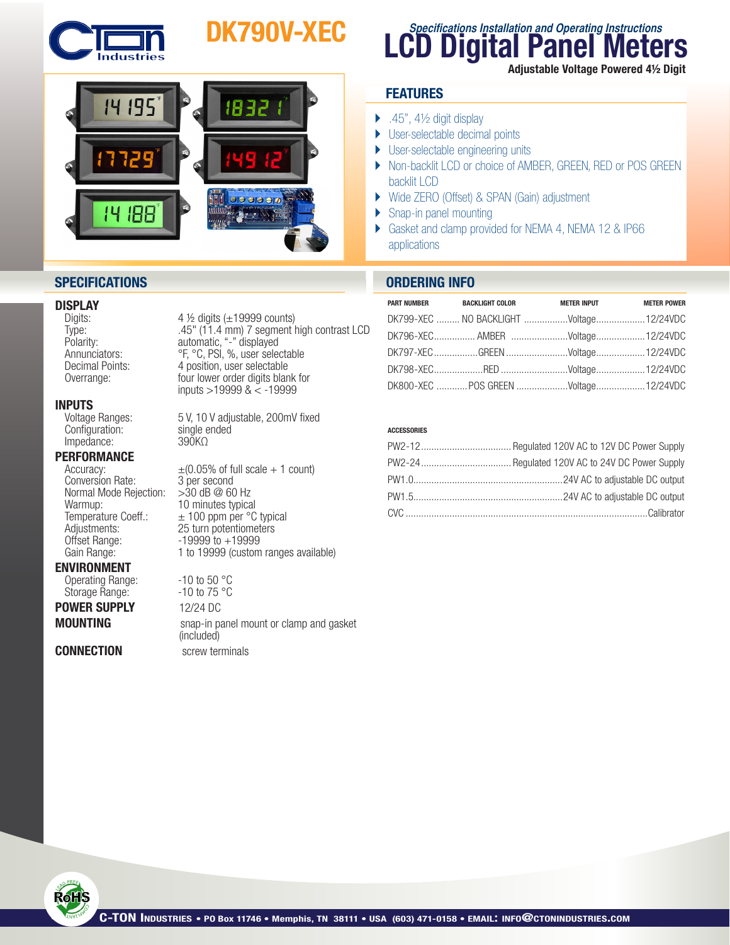

# DK790V-XEC



## **SPECIFICATIONS ORDERING INFO**

## **DISPLAY**<br>Digits:

**INPUTS**<br>Voltage Ranges:  $\text{Configuration:}$  single ended single ended and single ended single ended single ended and single ended single ended and single ended and single ended and single ended and single ended and single ended and single ended and singl Impedance:

## **PERFORMANCE**<br>Accuracy:

Conversion Rate: 3 per second<br>Normal Mode Rejection: > 30 dB @ 60 Hz Normal Mode Rejection:<br>Warmup:  $W$ armup:  $10$  minutes typical<br>Temperature Coeff.:  $\pm 100$  ppm per °C Offset Range: 19999 to +19999<br>Gain Range: 1 to 19999 (custom

### ENVIRONMENT

Operating Range:  $-10$  to 50 °C<br>Storage Range:  $-10$  to 75 °C Storage Range:

POWER SUPPLY 12/24 DC

**CONNECTION** screw terminals

4  $\frac{1}{2}$  digits ( $\pm$ 19999 counts) Type: .45" (11.4 mm) 7 segment high contrast LCD Polarity: automatic, "-" displayed<br>Annunciators: The Section of Section 1, 2016 Annunciators: <sup>or or</sup>, <sup>or or</sup>, <sup>or or</sup>, *or or selectable*<br>
Decimal Points: 4 position, user selectable 4 position, user selectable Overrange: four lower order digits blank for **four lower** order digits blank for

5 V, 10 V adjustable, 200mV fixed single ended

 $\pm (0.05\% \text{ of full scale} + 1 \text{ count})$ <br>3 per second  $\pm$  100 ppm per °C typical Adjustments: 25 turn potentiometers 1 to 19999 (custom ranges available)

**MOUNTING** snap-in panel mount or clamp and gasket (included)

## **LCD Digital Panel Meters Specifications Installation and Operating Instructions**

Adjustable Voltage Powered 4½ Digit

## **FEATURES**

- $\blacktriangleright$  .45", 41/<sub>2</sub> digit display
- ▶ User-selectable decimal points
- ▶ User-selectable engineering units
- ▶ Non-backlit LCD or choice of AMBER, GREEN, RED or POS GREEN backlit LCD
- } Wide ZERO (Offset) & SPAN (Gain) adjustment
- ▶ Snap-in panel mounting
- } Gasket and clamp provided for NEMA 4, NEMA 12 & IP66 applications

| PART NUMBER BACKLIGHT COLOR             | <b>METER INPUT</b> | <b>METER POWER</b> |
|-----------------------------------------|--------------------|--------------------|
| DK799-XEC  NO BACKLIGHT Voltage12/24VDC |                    |                    |
| DK796-XEC AMBER Voltage12/24VDC         |                    |                    |
| DK797-XEC GREEN Voltage12/24VDC         |                    |                    |
|                                         |                    |                    |
| DK800-XEC POS GREEN Voltage12/24VDC     |                    |                    |

### **ACCESSORIES**